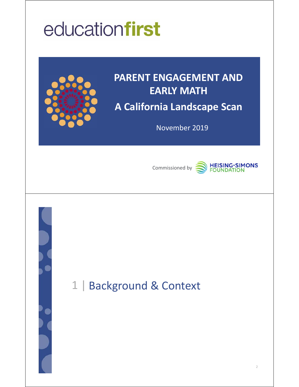# educationfirst



## **PARENT ENGAGEMENT AND EARLY MATH A California Landscape Scan**

November 2019



## **HEISING-SIMONS**<br>FOUNDATION

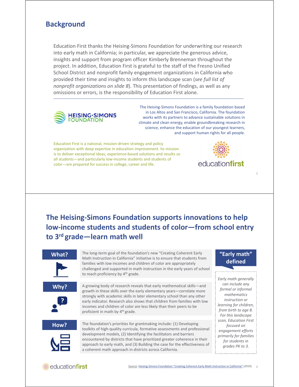### **Background**

Education First thanks the Heising‐Simons Foundation for underwriting our research into early math in California; in particular, we appreciate the generous advice, insights and support from program officer Kimberly Brenneman throughout the project. In addition, Education First is grateful to the staff of the Fresno Unified School District and nonprofit family engagement organizations in California who provided their time and insights to inform this landscape scan (*see full list of nonprofit organizations on slide 8*). This presentation of findings, as well as any omissions or errors, is the responsibility of Education First alone.



The Heising‐Simons Foundation is a family foundation based in Los Altos and San Francisco, California. The foundation works with its partners to advance sustainable solutions in climate and clean energy, enable groundbreaking research in science, enhance the education of our youngest learners, and support human rights for all people.

Education First is a national, mission‐driven strategy and policy organization with deep expertise in education improvement. Its mission is to deliver exceptional ideas, experience‐based solutions and results so all students—and particularly low‐income students and students of color—are prepared for success in college, career and life.



3

**The Heising‐Simons Foundation supports innovations to help low‐income students and students of color—from school entry to 3rd grade—learn math well**

#### **What?**

The long‐term goal of the foundation's new "Creating Coherent Early Math Instruction in California" initiative is to ensure that students from families with low incomes and children of color are appropriately challenged and supported in math instruction in the early years of school to reach proficiency by 4<sup>th</sup> grade.



A growing body of research reveals that early mathematical skills—and growth in these skills over the early elementary years—correlate more strongly with academic skills in later elementary school than any other early indicator. Research also shows that children from families with low incomes and children of color are less likely than their peers to be proficient in math by 4<sup>th</sup> grade.



The foundation's priorities for grantmaking include: (1) Developing toolkits of high‐quality curricula, formative assessments and professional development models, (2) Identifying the facilitators and barriers encountered by districts that have prioritized greater coherence in their approach to early math, and (3) Building the case for the effectiveness of a coherent math approach in districts across California.

#### **"Early math" defined**

*Early math generally can include any formal or informal mathematics instruction or learning for children, from birth to age 8. For this landscape scan, Education First focused on engagement efforts primarily for families for students in grades PK to 3.*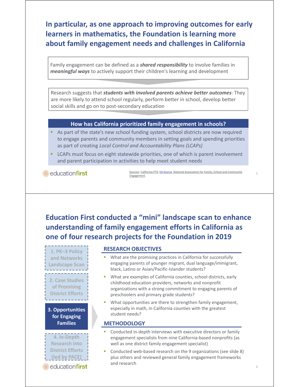**In particular, as one approach to improving outcomes for early learners in mathematics, the Foundation is learning more about family engagement needs and challenges in California**

Family engagement can be defined as a *shared responsibility* to involve families in *meaningful ways* to actively support their children's learning and development

Research suggests that *students with involved parents achieve better outcomes*: They are more likely to attend school regularly, perform better in school, develop better social skills and go on to post‐secondary education

#### **How has California prioritized family engagement in schools?**

- As part of the state's new school funding system, school districts are now required to engage parents and community members in setting goals and spending priorities as part of creating *Local Control and Accountability Plans (LCAPs)*
- LCAPs must focus on eight statewide priorities, one of which is parent involvement and parent participation in activities to help meet student needs

*<b>* educationfirst

Sources: California PTA, Ed Source, National Association for Family, School and Community Engagement.

**Education First conducted a "mini" landscape scan to enhance understanding of family engagement efforts in California as one of four research projects for the Foundation in 2019**

**1. PK–3 Policy and Networks Landscape Scan 2. Case Studies of Promising District Efforts 3. Opportunities for Engaging Families**

**4. In‐Depth Research into District Efforts (led by PACE)**

educationfirst

**RESEARCH OBJECTIVES**

- What are the promising practices in California for successfully engaging parents of younger migrant, dual language/immigrant, black, Latino or Asian/Pacific‐Islander students?
- What are examples of California counties, school districts, early childhood education providers, networks and nonprofit organizations with a strong commitment to engaging parents of preschoolers and primary grade students?
- What opportunities are there to strengthen family engagement, especially in math, in California counties with the greatest student needs?

#### **METHODOLOGY**

- Conducted in‐depth interviews with executive directors or family engagement specialists from nine California‐based nonprofits (as well as one district family engagement specialist)
- Conducted web‐based research on the 9 organizations (see slide 8) plus others and reviewed general family engagement frameworks and research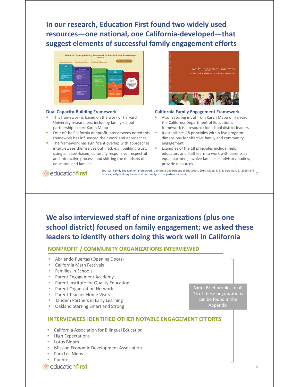**In our research, Education First found two widely used resources—one national, one California‐developed—that suggest elements of successful family engagement efforts**



#### **Dual Capacity‐Building Framework**

- This framework is based on the work of Harvard University researchers, including family‐school partnership expert Karen Mapp
- Four of the California nonprofit interviewees noted this framework has influenced their work and approaches
- The framework has significant overlap with approaches interviewees themselves outlined, e.g., building trust; using an asset‐based, culturally responsive, respectful and interactive process; and shifting the mindsets of educators and families



#### **California Family Engagement Framework**

- Also featuring input from Karen Mapp of Harvard, the California Department of Education's framework is a resource for school district leaders
- It establishes 18 principles within five program dimensions for effective family and community engagement
- Examples of the 18 principles include: help educators and staff learn to work with parents as equal partners; involve families in advisory bodies; provide resources

educationfirst

S<u>ources: Family Engagement Framework</u>, California Department of Education, 2014, Mapp, K. L. & Bergman, E. (2019) and<br>Dual capacity-building framework for family-school partnerships (v2). Dual capacity‐building framework for family‐school partnerships (v2).

**We also interviewed staff of nine organizations (plus one school district) focused on family engagement; we asked these leaders to identify others doing this work well in California**

#### **NONPROFIT / COMMUNITY ORGANIZATIONS INTERVIEWED**

- Abriendo Puertas (Opening Doors)
- California Math Festivals
- Families in Schools
- **Parent Engagement Academy**
- Parent Institute for Quality Education
- Parent Organization Network
- Parent Teacher Home Visits
- **Tandem Partners in Early Learning**
- Oakland Starting Smart and Strong

**Note**: Brief profiles of all 15 of these organizations can be found in the Appendix

#### **INTERVIEWEES IDENTIFIED OTHER NOTABLE ENGAGEMENT EFFORTS**

- **EXEC** California Association for Bilingual Education
- **High Expectations**
- **Lotus Bloom**
- Mission Economic Development Association
- Para Los Ninos
- Puente
- educationfirst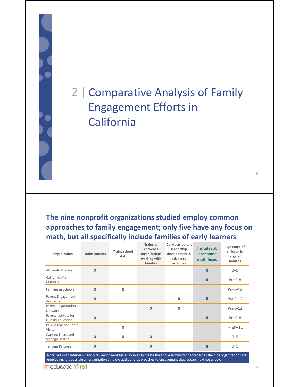## 2 | Comparative Analysis of Family Engagement Efforts in **California**

**The nine nonprofit organizations studied employ common approaches to family engagement; only five have any focus on math, but all specifically include families of early learners**

| Organization                                     | <b>Trains parents</b>     | <b>Trains school</b><br>staff | <b>Trains or</b><br>convenes<br>organizations<br>working with<br>families | Conducts parent<br>leadership<br>development &<br>advocacy<br>activities | <b>Includes at</b><br>least some<br>math focus | Age range of<br>children in<br>targeted<br>families |
|--------------------------------------------------|---------------------------|-------------------------------|---------------------------------------------------------------------------|--------------------------------------------------------------------------|------------------------------------------------|-----------------------------------------------------|
| Abriendo Puertas                                 | $\boldsymbol{\mathsf{X}}$ |                               |                                                                           |                                                                          | X                                              | $0 - 5$                                             |
| California Math<br>Festivals                     |                           |                               |                                                                           |                                                                          | X                                              | PreK-8                                              |
| Families in Schools                              | $\boldsymbol{\mathsf{X}}$ | $\boldsymbol{\mathsf{x}}$     |                                                                           |                                                                          |                                                | $PreK-12$                                           |
| Parent Engagement<br>Academy                     | $\boldsymbol{\mathsf{X}}$ |                               |                                                                           | X                                                                        | $\mathbf x$                                    | $PreK-12$                                           |
| Parent Organization<br>Network                   |                           |                               | X                                                                         | X                                                                        |                                                | $PreK-12$                                           |
| Parent Institute for<br><b>Quality Education</b> | $\overline{\mathsf{X}}$   |                               |                                                                           |                                                                          | X                                              | PreK-8                                              |
| Parent Teacher Home<br><b>Visits</b>             |                           | $\boldsymbol{\mathsf{x}}$     |                                                                           |                                                                          |                                                | $PreK-12$                                           |
| Starting Smart and<br>Strong-Oakland             | $\boldsymbol{\mathsf{X}}$ | $\boldsymbol{\mathsf{x}}$     | $\mathsf{X}$                                                              |                                                                          |                                                | $0 - 5$                                             |
| <b>Tandem Partners</b>                           | X                         |                               | $\boldsymbol{\mathsf{X}}$                                                 |                                                                          | $\overline{\mathsf{x}}$                        | $0 - 5$                                             |

Note: We used interviews and a review of websites as sources to create the above summary of approaches the nine organizations are employing. It is possible an organization employs additional approaches to engagement that research did not uncover.

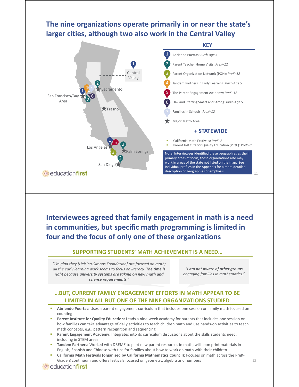### **The nine organizations operate primarily in or near the state's larger cities, although two also work in the Central Valley**



**Interviewees agreed that family engagement in math is a need in communities, but specific math programming is limited in four and the focus of only one of these organizations**

#### **SUPPORTING STUDENTS' MATH ACHIEVEMENT IS A NEED…**

*"I'm glad they [Heising‐Simons Foundation] are focused on math; all the early learning work seems to focus on literacy. The time is right because university systems are taking on new math and science requirements."*

*"I am not aware of other groups engaging families in mathematics."*

#### **…BUT, CURRENT FAMILY ENGAGEMENT EFFORTS IN MATH APPEAR TO BE LIMITED IN ALL BUT ONE OF THE NINE ORGANIZATIONS STUDIED**

- **Abriendo Puertas:** Uses a parent engagement curriculum that includes one session on family math focused on counting
- Parent Institute for Quality Education: Leads a nine-week academy for parents that includes one session on how families can take advantage of daily activities to teach children math and use hands‐on activities to teach math concepts, e.g., pattern recognition and sequencing
- **Parent Engagement Academy:** Integrates into its curriculum discussions about the skills students need, including in STEM areas
- **Tandem Partners:** Worked with DREME to pilot new parent resources in math; will soon print materials in English, Spanish and Chinese with tips for families about how to work on math with their children
- **California Math Festivals (organized by California Mathematics Council):** Focuses on math across the PreK‐ Grade 8 continuum and offers festivals focused on geometry, algebra and numbers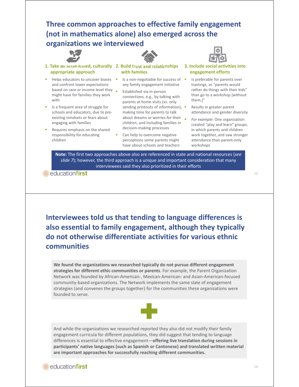### **Three common approaches to effective family engagement (not in mathematics alone) also emerged across the organizations we interviewed**





- Helps educators to uncover biases and confront lower expectations based on race or income level they might have for families they work with
- Is a frequent area of struggle for schools and educators, due to pre‐ existing mindsets or fears about engaging with families
- Requires emphasis on the shared responsibility for educating children



**with families**

- Is a non-negotiable for success of any family engagement initiative
- Established via in‐person connections, e.g., by talking with parents at home visits (vs. only sending printouts of information), making time for parents to talk about dreams or worries for their  $\Box$ children, and including families in decision‐making processes
- Can help to overcome negative perceptions some parents might have about schools and teachers
- **3. Include social activities into** 
	- **engagement efforts**
	- Is preferable for parents over trainings, as "parents would rather do things with their kids" than go to a workshop [without them,]"
	- Results in greater parent attendance and gender diversity
	- *For example*: One organization created "play and learn" groups, in which parents and children work together, and saw stronger attendance than parent‐only workshops

**Note:** The first two approaches above also are referenced in state and national resources (*see slide 7*); however, the third approach is a unique and important consideration that many interviewees said they also prioritized in their efforts

**C**educationfirst

**Interviewees told us that tending to language differences is also essential to family engagement, although they typically do not otherwise differentiate activities for various ethnic communities**

**We found the organizations we researched typically do not pursue different engagement strategies for different ethic communities or parents**. For example, the Parent Organization Network was founded by African‐American‐, Mexican‐American‐ and Asian‐American‐focused community‐based organizations. The Network implements the same slate of engagement strategies (and convenes the groups together) for the communities these organizations were founded to serve.



And while the organizations we researched reported they also did not modify their family engagement curricula for different populations, they did suggest that tending to language differences is essential to effective engagement—**offering live translation during sessions in participants' native languages (such as Spanish or Cantonese) and translated written material are important approaches for successfully reaching different communities.** 

#### 13

### educationfirst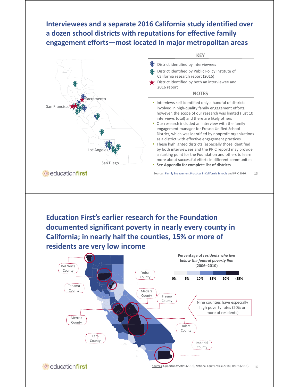### **Interviewees and a separate 2016 California study identified over a dozen school districts with reputations for effective family engagement efforts—most located in major metropolitan areas**



**California; in nearly half the counties, 15% or more of residents are very low income**

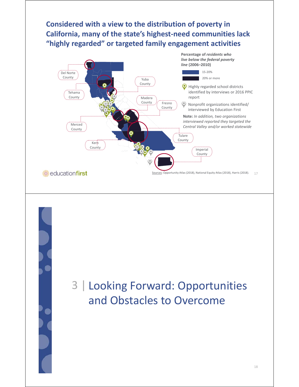### **Considered with a view to the distribution of poverty in California, many of the state's highest‐need communities lack "highly regarded" or targeted family engagement activities**



## 3 | Looking Forward: Opportunities and Obstacles to Overcome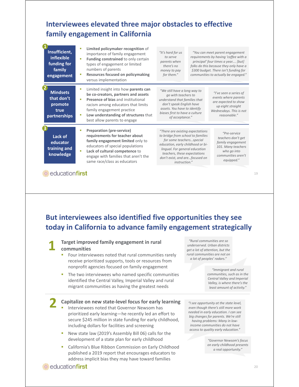### **Interviewees elevated three major obstacles to effective family engagement in California**

| Insufficient,<br><b>inflexible</b><br>funding for<br>family<br>engagement | Limited policymaker recognition of<br>п<br>importance of family engagement<br>Funding constrained to only certain<br>n,<br>types of engagement or limited<br>numbers of parents<br>Resources focused on policymaking<br>×<br>versus implementation                      | "It's hard for us<br>to serve<br>parents when<br>there's no<br>money to pay<br>for them."                                                                                                                                                                   | "You can meet parent engagement<br>requirements by having 'coffee with a<br>principal' four times a year [but]<br>folks do this because they only have a<br>\$300 budget. There isn't funding for<br>communities to actually be engaged." |
|---------------------------------------------------------------------------|-------------------------------------------------------------------------------------------------------------------------------------------------------------------------------------------------------------------------------------------------------------------------|-------------------------------------------------------------------------------------------------------------------------------------------------------------------------------------------------------------------------------------------------------------|-------------------------------------------------------------------------------------------------------------------------------------------------------------------------------------------------------------------------------------------|
| <b>Mindsets</b><br>that don't<br>promote<br>true<br>partnerships          | Limited insight into how parents can<br>×<br>be co-creators, partners and assets<br>Presence of bias and institutional<br>٠<br>racism among educators that limits<br>family engagement practice<br>Low understanding of structures that<br>best allow parents to engage | "We still have a long way to<br>go with teachers to<br>understand that families that<br>don't speak English have<br>assets. You have to identify<br>biases first to have a culture<br>of acceptance."                                                       | "I've seen a series of<br>events where parents<br>are expected to show<br>up eight straight<br>Wednesdays. This is not<br>reasonable."                                                                                                    |
| Lack of<br>educator<br>training and<br>knowledge                          | <b>Preparation (pre-service)</b><br>×<br>requirements for teacher about<br>family engagement limited only to<br>educators of special populations<br>Lack of cultural competence to<br>п<br>engage with families that aren't the<br>same race/class as educators         | "There are existing expectations<br>to bridge from school to families<br>for some teachersspecial<br>education, early childhood or bi-<br>lingual. For general education<br>teachers, these expectations<br>don't exist, and arefocused on<br>instruction." | "Pre-service<br>teachers don't get<br>family engagement<br>101. Many teachers<br>who go into<br>communities aren't<br>equipped."                                                                                                          |

**Example 2** education **first** 

**But interviewees also identified five opportunities they see today in California to advance family engagement strategically**



**1 Target improved family engagement in rural** 

- Four interviewees noted that rural communities rarely receive prioritized supports, tools or resources from nonprofit agencies focused on family engagement
- **The two interviewees who named specific communities** identified the Central Valley, Imperial Valley and rural migrant communities as having the greatest needs

#### **2 Capitalize on new state‐level focus for early learning**

- Interviewees noted that Governor Newsom has prioritized early learning—he recently led an effort to secure \$245 million in state funding for early childhood, including dollars for facilities and screening
- New state law (2019's Assembly Bill 06) calls for the development of a state plan for early childhood
- **EXEC** California's Blue Ribbon Commission on Early Childhood published a 2019 report that encourages educators to address implicit bias they may have toward families

*"Rural communities are so underserved. Urban districts get a lot of attention, but the rural communities are not on a lot of peoples' radars."*

> *"Immigrant and rural communities, such as in the Central Valley and Imperial Valley, is where there's the least amount of activity."*

*"I see opportunity at the state level, even though there's still more work needed in early education. I can see big changes for parents. We're still having problems: Many in low‐ income communities do not have access to quality early education."*

> *"Governor Newsom's focus on early childhood presents a real opportunity."*

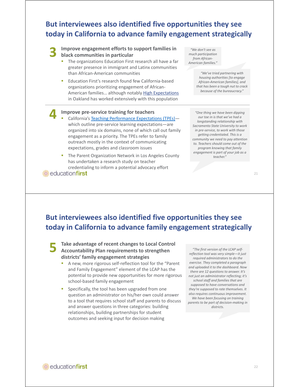### **But interviewees also identified five opportunities they see today in California to advance family engagement strategically**

**3 Improve engagement efforts to support families in black communities in particular**

- The organizations Education First research all have a far greater presence in immigrant and Latinx communities than African‐American communities
- Education First's research found few California‐based organizations prioritizing engagement of African‐ American families… although notably High Expectations in Oakland has worked extensively with this population

#### **4 Improve pre‐service training for teachers**

- California's Teaching Performance Expectations (TPEs) which outline pre‐service learning expectations—are organized into six domains, none of which call out family engagement as a priority. The TPEs refer to family outreach mostly in the context of communicating expectations, grades and classroom issues
- The Parent Organization Network in Los Angeles County has undertaken a research study on teacher credentialing to inform a potential advocacy effort

educationfirst

*"We don't see as much participation from African‐ American families."*

> *"We've tried partnering with housing authorities [to engage African‐American families], and that has been a tough nut to crack because of the bureaucracy."*

*"One thing we have been dipping our toe in is that we've had a longstanding relationship with Sacramento State University to work in pre‐service, to work with those getting credentialed. This is a community we need to pay attention to. Teachers should come out of the program knowing that family engagement is part of your job as a teacher."*

21

### **But interviewees also identified five opportunities they see today in California to advance family engagement strategically**

**5 Take advantage of recent changes to Local Control Accountability Plan requirements to strengthen districts' family engagement strategies**

- A new, more rigorous self‐reflection tool for the "Parent and Family Engagement" element of the LCAP has the potential to provide new opportunities for more rigorous school‐based family engagement
- Specifically, the tool has been upgraded from one question an administrator on his/her own could answer to a tool that requires school staff and parents to discuss and answer questions in three categories: building relationships, building partnerships for student outcomes and seeking input for decision making

*"The first version of the LCAP self‐ reflection tool was very simple—it just required administrators to do the exercise. They completed a paragraph and uploaded it to the dashboard. Now there are 12 questions to answer. It's not just an administrator reflecting; it's school staff and families that are supposed to have conversations and they're supposed to rate themselves. It also requires continuous improvement. We have been focusing on training parents to be part of decision‐making in districts.*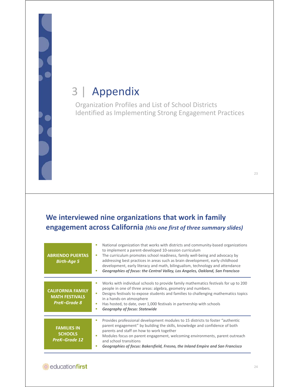## 3 | Appendix

Organization Profiles and List of School Districts Identified as Implementing Strong Engagement Practices

### **We interviewed nine organizations that work in family engagement across California** *(this one first of three summary slides)*

| <b>ABRIENDO PUERTAS</b><br><b>Birth-Age 5</b>                            | National organization that works with districts and community-based organizations<br>٠<br>to implement a parent-developed 10-session curriculum<br>The curriculum promotes school readiness, family well-being and advocacy by<br>п<br>addressing best practices in areas such as brain development, early childhood<br>development, early literacy and math, bilingualism, technology and attendance<br>Geographies of focus: the Central Valley, Los Angeles, Oakland, San Francisco<br>п |
|--------------------------------------------------------------------------|---------------------------------------------------------------------------------------------------------------------------------------------------------------------------------------------------------------------------------------------------------------------------------------------------------------------------------------------------------------------------------------------------------------------------------------------------------------------------------------------|
| <b>CALIFORNIA FAMILY</b><br><b>MATH FESTIVALS</b><br><b>PreK-Grade 8</b> | Works with individual schools to provide family mathematics festivals for up to 200<br>n<br>people in one of three areas: algebra, geometry and numbers.<br>Designs festivals to expose students and families to challenging mathematics topics<br>٠<br>in a hands-on atmosphere<br>Has hosted, to date, over 1,000 festivals in partnership with schools<br>п<br><b>Geography of focus: Statewide</b><br>п                                                                                 |
| <b>FAMILIES IN</b><br><b>SCHOOLS</b><br><b>PreK-Grade 12</b>             | Provides professional development modules to 15 districts to foster "authentic"<br>n<br>parent engagement" by building the skills, knowledge and confidence of both<br>parents and staff on how to work together<br>Modules focus on parent engagement, welcoming environments, parent outreach<br>п<br>and school transitions<br>Geographies of focus: Bakersfield, Fresno, the Inland Empire and San Francisco<br>E                                                                       |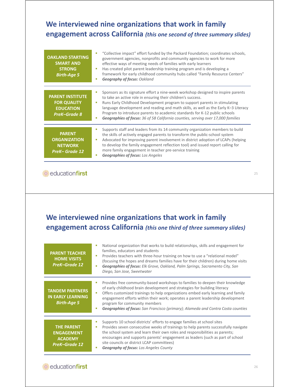### **We interviewed nine organizations that work in family engagement across California** *(this one second of three summary slides)*

| <b>OAKLAND STARTING</b><br><b>SMART AND</b><br><b>STRONG</b><br><b>Birth-Age 5</b>       | "Collective impact" effort funded by the Packard Foundation; coordinates schools,<br>government agencies, nonprofits and community agencies to work for more<br>effective ways of meeting needs of families with early learners<br>Has created pilot parent leadership training program and is developing a<br>framework for early childhood community hubs called "Family Resource Centers"<br><b>Geography of focus: Oakland</b>                                                            |
|------------------------------------------------------------------------------------------|-----------------------------------------------------------------------------------------------------------------------------------------------------------------------------------------------------------------------------------------------------------------------------------------------------------------------------------------------------------------------------------------------------------------------------------------------------------------------------------------------|
| <b>PARENT INSTITUTE</b><br><b>FOR QUALITY</b><br><b>EDUCATION</b><br><b>PreK-Grade 8</b> | Sponsors as its signature effort a nine-week workshop designed to inspire parents<br>to take an active role in ensuring their children's success.<br>Runs Early Childhood Development program to support parents in stimulating<br>language development and reading and math skills, as well as the Early K-3 Literacy<br>Program to introduce parents to academic standards for K-12 public schools<br>Geographies of focus: 36 of 58 California counties, serving over 17,000 families<br>п |
| <b>PARENT</b><br><b>ORGANIZATION</b><br><b>NETWORK</b><br><b>PreK-Grade 12</b>           | Supports staff and leaders from its 14 community organization members to build<br>the skills of actively engaged parents to transform the public-school system<br>Advocated for improving parent involvement in district adoption of LCAPs (helping<br>п<br>to develop the family engagement reflection tool) and issued report calling for<br>more family engagement in teacher pre-service training<br><b>Geographies of focus:</b> Los Angeles<br>п                                        |

#### **educationfirst**

### **We interviewed nine organizations that work in family engagement across California** *(this one third of three summary slides)*

| <b>PARENT TEACHER</b><br><b>HOME VISITS</b><br><b>PreK-Grade 12</b>       | National organization that works to build relationships, skills and engagement for<br>families, educators and students<br>Provides teachers with three-hour training on how to use a "relational model"<br>(focusing the hopes and dreams families have for their children) during home visits<br><b>Geographies of focus:</b> Elk Grove, Oakland, Palm Springs, Sacramento City, San<br>Diego, San Jose, Sweetwater                                                     |
|---------------------------------------------------------------------------|--------------------------------------------------------------------------------------------------------------------------------------------------------------------------------------------------------------------------------------------------------------------------------------------------------------------------------------------------------------------------------------------------------------------------------------------------------------------------|
| <b>TANDEM PARTNERS</b><br><b>IN EARLY LEARNING</b><br><b>Birth-Age 5</b>  | Provides free community-based workshops to families to deepen their knowledge<br>of early childhood brain development and strategies for building literacy<br>Offers customized trainings to help organizations embed early learning and family<br>п<br>engagement efforts within their work; operates a parent leadership development<br>program for community members<br><b>Geographies of focus:</b> San Francisco (primary); Alameda and Contra Costa counties<br>×, |
| <b>THE PARENT</b><br><b>ENGAGEMENT</b><br><b>ACADEMY</b><br>PreK-Grade 12 | Supports 10 school districts' efforts to engage families at school sites<br>Provides seven consecutive weeks of trainings to help parents successfully navigate<br>ш<br>the school system and learn their own roles and responsibilities as parents;<br>encourages and supports parents' engagement as leaders (such as part of school<br>site councils or district LCAP committees)<br><b>Geography of focus:</b> Los Angeles County                                    |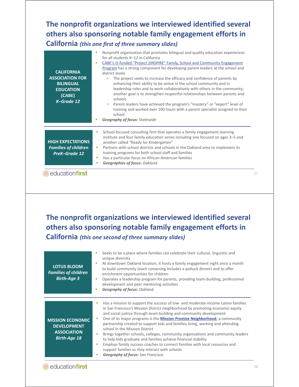### **The nonprofit organizations we interviewed identified several others also sponsoring notable family engagement efforts in California** *(this one first of three summary slides)*

| <b>CALIFORNIA</b><br><b>ASSOCIATION FOR</b><br><b>BILINGUAL</b><br><b>EDUCATION</b><br>(CABE)<br>K-Grade 12 | Nonprofit organization that promotes bilingual and quality education experiences<br>n<br>for all students K-12 in California<br>CABE's i3-funded "Project 2INSPIRE" Family, School and Community Engagement<br>٠<br>Program has a strong component for developing parent leaders at the school and<br>district levels<br>$+$ The project seeks to increase the efficacy and confidence of parents by<br>enhancing their ability to be active in the school community and in<br>leadership roles and to work collaboratively with others in the community;<br>another goal is to strengthen respectful relationships between parents and<br>schools<br>Parent leaders have achieved the program's "mastery" or "expert" level of<br>$+$<br>training and worked over 100 hours with a parent specialist assigned to their<br>school<br><b>Geography of focus: Statewide</b><br>٠ |
|-------------------------------------------------------------------------------------------------------------|--------------------------------------------------------------------------------------------------------------------------------------------------------------------------------------------------------------------------------------------------------------------------------------------------------------------------------------------------------------------------------------------------------------------------------------------------------------------------------------------------------------------------------------------------------------------------------------------------------------------------------------------------------------------------------------------------------------------------------------------------------------------------------------------------------------------------------------------------------------------------------|
| <b>HIGH EXPECTATIONS</b><br><b>Families of children</b><br><b>PreK-Grade 12</b>                             | School-focused consulting firm that operates a family engagement learning<br>п<br>institute and four family education series including one focused on ages 3–5 and<br>another called "Ready for Kindergarten"<br>Partners with school districts and schools in the Oakland area to implement its<br>п<br>training programs for both school staff and families<br>Has a particular focus on African-American families<br>ш<br><b>Geographies of focus: Oakland</b><br>п                                                                                                                                                                                                                                                                                                                                                                                                         |
| educationfirst                                                                                              |                                                                                                                                                                                                                                                                                                                                                                                                                                                                                                                                                                                                                                                                                                                                                                                                                                                                                |

### **The nonprofit organizations we interviewed identified several others also sponsoring notable family engagement efforts in California** *(this one second of three summary slides)*

| <b>LOTUS BLOOM</b><br><b>Families of children</b><br><b>Birth-Age 3</b>                    | Seeks to be a place where families can celebrate their cultural, linguistic and<br>unique diversity<br>At downtown Oakland location, it hosts a family engagement night once a month<br>to build community (each convening includes a potluck dinner) and to offer<br>enrichment opportunities for children<br>Operates a leadership program for parents, providing team-building, professional<br>development and peer mentoring activities<br><b>Geography of focus: Oakland</b>                                                                                                                                                                                                                                                                                                      |
|--------------------------------------------------------------------------------------------|-----------------------------------------------------------------------------------------------------------------------------------------------------------------------------------------------------------------------------------------------------------------------------------------------------------------------------------------------------------------------------------------------------------------------------------------------------------------------------------------------------------------------------------------------------------------------------------------------------------------------------------------------------------------------------------------------------------------------------------------------------------------------------------------|
| <b>MISSION ECONOMIC</b><br><b>DEVELOPMENT</b><br><b>ASSOCIATION</b><br><b>Birth-Age 18</b> | Has a mission to support the success of low- and moderate-income Latino families<br>in San Francisco's Mission District neighborhood by promoting economic equity<br>and social justice through asset-building and community development<br>One of its major programs is the Mission Promise Neighborhood, a community<br>п<br>partnership created to support kids and families living, working and attending<br>school in the Mission District<br>Brings together schools, colleges, community organizations and community leaders<br>to help kids graduate and families achieve financial stability<br>Employs family success coaches to connect families with local resources and<br>support families as they interact with schools<br><b>Geography of focus:</b> San Francisco<br>ш |
| educationfirst                                                                             |                                                                                                                                                                                                                                                                                                                                                                                                                                                                                                                                                                                                                                                                                                                                                                                         |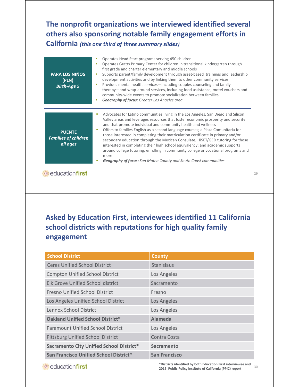### **The nonprofit organizations we interviewed identified several others also sponsoring notable family engagement efforts in California** *(this one third of three summary slides)*

| <b>PARA LOS NIÑOS</b><br>(PLN)<br><b>Birth-Age 5</b>     | Operates Head Start programs serving 450 children<br>×<br>Operates Gratts Primary Center for children in transitional kindergarten through<br>٠<br>first grade and charter elementary and middle schools<br>Supports parent/family development through asset-based trainings and leadership<br>٠<br>development activities and by linking them to other community services<br>Provides mental health services—including couples counseling and family<br>×,<br>therapy—and wrap-around services, including food assistance, motel vouchers and<br>community-wide events to promote socialization between families<br><b>Geography of focus:</b> Greater Los Angeles area<br>×                                                                                         |
|----------------------------------------------------------|-----------------------------------------------------------------------------------------------------------------------------------------------------------------------------------------------------------------------------------------------------------------------------------------------------------------------------------------------------------------------------------------------------------------------------------------------------------------------------------------------------------------------------------------------------------------------------------------------------------------------------------------------------------------------------------------------------------------------------------------------------------------------|
| <b>PUENTE</b><br><b>Families of children</b><br>all ages | Advocates for Latino communities living in the Los Angeles, San Diego and Silicon<br>×<br>Valley areas and leverages resources that foster economic prosperity and security<br>and that promote individual and community health and wellness<br>Offers to families English as a second language courses; a Plaza Comunitaria for<br>u,<br>those interested in completing their matriculation certificate in primary and/or<br>secondary education through the Mexican Consulate; HiSET/GED tutoring for those<br>interested in completing their high school equivalency; and academic supports<br>around college tutoring, enrolling in community college or vocational programs and<br>more<br>Geography of focus: San Mateo County and South Coast communities<br>п |
| educationfirst                                           | 79                                                                                                                                                                                                                                                                                                                                                                                                                                                                                                                                                                                                                                                                                                                                                                    |

**Executionfirst** 

### **Asked by Education First, interviewees identified 11 California school districts with reputations for high quality family engagement**

| <b>School District</b>                          | <b>County</b>        |
|-------------------------------------------------|----------------------|
| <b>Ceres Unified School District</b>            | Stanislaus           |
| <b>Compton Unified School District</b>          | Los Angeles          |
| Elk Grove Unified School district               | Sacramento           |
| <b>Fresno Unified School District</b>           | Fresno               |
| Los Angeles Unified School District             | Los Angeles          |
| Lennox School District                          | Los Angeles          |
| <b>Oakland Unified School District*</b>         | Alameda              |
| <b>Paramount Unified School District</b>        | Los Angeles          |
| <b>Pittsburg Unified School District</b>        | Contra Costa         |
| <b>Sacramento City Unified School District*</b> | Sacramento           |
| <b>San Francisco Unified School District*</b>   | <b>San Francisco</b> |

<sup>30</sup> **\*Districts identified by both Education First interviewee and 2016 Public Policy Institute of California (PPIC) report**